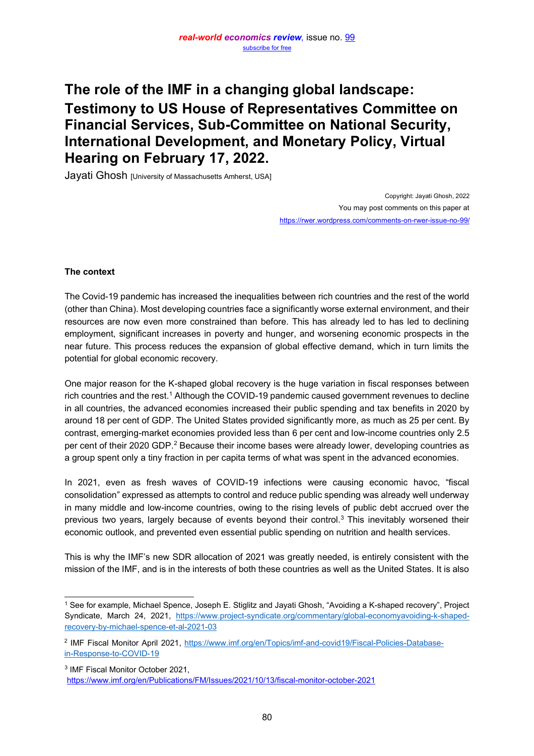# **The role of the IMF in a changing global landscape: Testimony to US House of Representatives Committee on Financial Services, Sub-Committee on National Security, International Development, and Monetary Policy, Virtual Hearing on February 17, 2022.**

Jayati Ghosh [University of Massachusetts Amherst, USA]

Copyright: Jayati Ghosh, 2022 You may post comments on this paper at <https://rwer.wordpress.com/comments-on-rwer-issue-no-99/>

## **The context**

The Covid-19 pandemic has increased the inequalities between rich countries and the rest of the world (other than China). Most developing countries face a significantly worse external environment, and their resources are now even more constrained than before. This has already led to has led to declining employment, significant increases in poverty and hunger, and worsening economic prospects in the near future. This process reduces the expansion of global effective demand, which in turn limits the potential for global economic recovery.

One major reason for the K-shaped global recovery is the huge variation in fiscal responses between rich countries and the rest.<sup>1</sup> Although the COVID-19 pandemic caused government revenues to decline in all countries, the advanced economies increased their public spending and tax benefits in 2020 by around 18 per cent of GDP. The United States provided significantly more, as much as 25 per cent. By contrast, emerging-market economies provided less than 6 per cent and low-income countries only 2.5 per cent of their 2020 GDP.<sup>2</sup> Because their income bases were already lower, developing countries as a group spent only a tiny fraction in per capita terms of what was spent in the advanced economies.

In 2021, even as fresh waves of COVID-19 infections were causing economic havoc, "fiscal consolidation" expressed as attempts to control and reduce public spending was already well underway in many middle and low-income countries, owing to the rising levels of public debt accrued over the previous two years, largely because of events beyond their control.<sup>3</sup> This inevitably worsened their economic outlook, and prevented even essential public spending on nutrition and health services.

This is why the IMF's new SDR allocation of 2021 was greatly needed, is entirely consistent with the mission of the IMF, and is in the interests of both these countries as well as the United States. It is also

<sup>3</sup> IMF Fiscal Monitor October 2021,

 $1$  See for example, Michael Spence, Joseph E. Stiglitz and Jayati Ghosh, "Avoiding a K-shaped recovery", Project Syndicate, March 24, 202[1, https://www.project-syndicate.org/commentary/global-economyavoiding-k-shaped](https://www.project-syndicate.org/commentary/global-economy-avoiding-k-shaped-recovery-by-michael-spence-et-al-2021-03)[recovery-by-michael-spence-et-al-2021-03](https://www.project-syndicate.org/commentary/global-economy-avoiding-k-shaped-recovery-by-michael-spence-et-al-2021-03) 

<sup>2</sup> IMF Fiscal Monitor April 202[1, https://www.imf.org/en/Topics/imf-and-covid19/Fiscal-Policies-Database](https://www.imf.org/en/Topics/imf-and-covid19/Fiscal-Policies-Database-in-Response-to-COVID-19)[in-Response-to-COVID-19](https://www.imf.org/en/Topics/imf-and-covid19/Fiscal-Policies-Database-in-Response-to-COVID-19) 

<https://www.imf.org/en/Publications/FM/Issues/2021/10/13/fiscal-monitor-october-2021>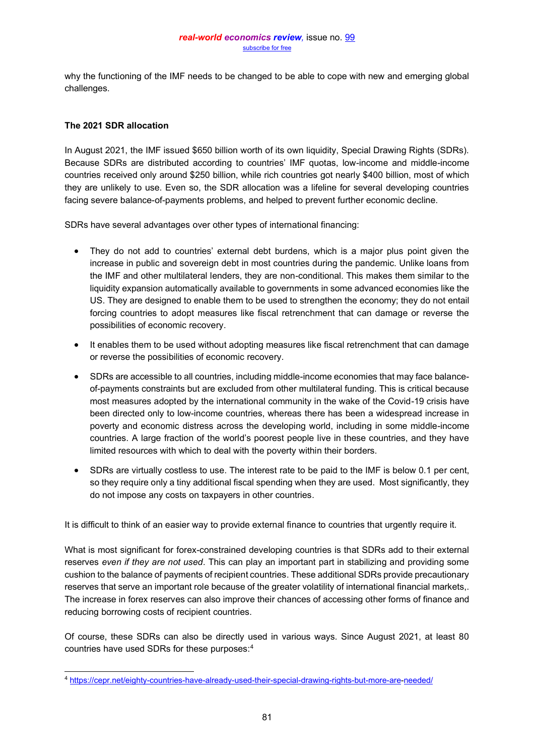why the functioning of the IMF needs to be changed to be able to cope with new and emerging global challenges.

## **The 2021 SDR allocation**

In August 2021, the IMF issued \$650 billion worth of its own liquidity, Special Drawing Rights (SDRs). Because SDRs are distributed according to countries' IMF quotas, low-income and middle-income countries received only around \$250 billion, while rich countries got nearly \$400 billion, most of which they are unlikely to use. Even so, the SDR allocation was a lifeline for several developing countries facing severe balance-of-payments problems, and helped to prevent further economic decline.

SDRs have several advantages over other types of international financing:

- They do not add to countries' external debt burdens, which is a major plus point given the increase in public and sovereign debt in most countries during the pandemic. Unlike loans from the IMF and other multilateral lenders, they are non-conditional. This makes them similar to the liquidity expansion automatically available to governments in some advanced economies like the US. They are designed to enable them to be used to strengthen the economy; they do not entail forcing countries to adopt measures like fiscal retrenchment that can damage or reverse the possibilities of economic recovery.
- It enables them to be used without adopting measures like fiscal retrenchment that can damage or reverse the possibilities of economic recovery.
- SDRs are accessible to all countries, including middle-income economies that may face balanceof-payments constraints but are excluded from other multilateral funding. This is critical because most measures adopted by the international community in the wake of the Covid-19 crisis have been directed only to low-income countries, whereas there has been a widespread increase in poverty and economic distress across the developing world, including in some middle-income countries. A large fraction of the world's poorest people live in these countries, and they have limited resources with which to deal with the poverty within their borders.
- SDRs are virtually costless to use. The interest rate to be paid to the IMF is below 0.1 per cent, so they require only a tiny additional fiscal spending when they are used. Most significantly, they do not impose any costs on taxpayers in other countries.

It is difficult to think of an easier way to provide external finance to countries that urgently require it.

What is most significant for forex-constrained developing countries is that SDRs add to their external reserves *even if they are not used*. This can play an important part in stabilizing and providing some cushion to the balance of payments of recipient countries. These additional SDRs provide precautionary reserves that serve an important role because of the greater volatility of international financial markets,. The increase in forex reserves can also improve their chances of accessing other forms of finance and reducing borrowing costs of recipient countries.

Of course, these SDRs can also be directly used in various ways. Since August 2021, at least 80 countries have used SDRs for these purposes: 4

<sup>4</sup> [https://cepr.net/eighty-countries-have-already-used-their-special-drawing-rights-but-more-are-](https://cepr.net/eighty-countries-have-already-used-their-special-drawing-rights-but-more-are)[needed/](https://cepr.net/eighty-countries-have-already-used-their-special-drawing-rights-but-more-are-needed/)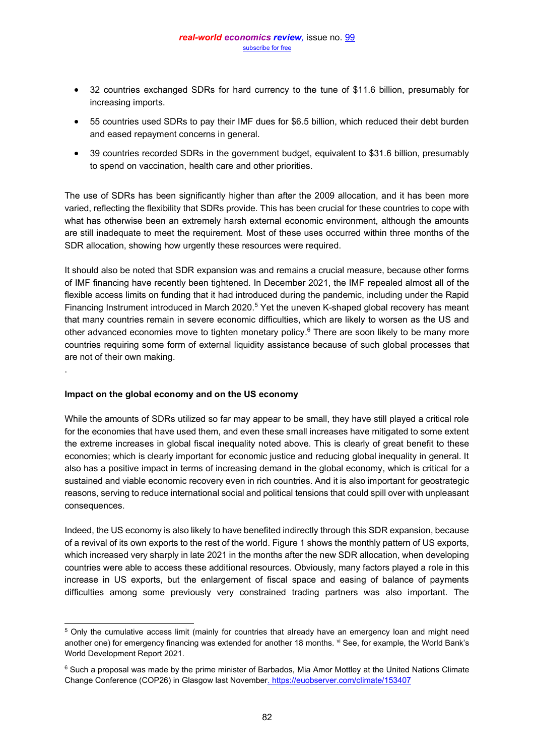- 32 countries exchanged SDRs for hard currency to the tune of \$11.6 billion, presumably for increasing imports.
- 55 countries used SDRs to pay their IMF dues for \$6.5 billion, which reduced their debt burden and eased repayment concerns in general.
- 39 countries recorded SDRs in the government budget, equivalent to \$31.6 billion, presumably to spend on vaccination, health care and other priorities.

The use of SDRs has been significantly higher than after the 2009 allocation, and it has been more varied, reflecting the flexibility that SDRs provide. This has been crucial for these countries to cope with what has otherwise been an extremely harsh external economic environment, although the amounts are still inadequate to meet the requirement. Most of these uses occurred within three months of the SDR allocation, showing how urgently these resources were required.

It should also be noted that SDR expansion was and remains a crucial measure, because other forms of IMF financing have recently been tightened. In December 2021, the IMF repealed almost all of the flexible access limits on funding that it had introduced during the pandemic, including under the Rapid Financing Instrument introduced in March 2020.<sup>5</sup> Yet the uneven K-shaped global recovery has meant that many countries remain in severe economic difficulties, which are likely to worsen as the US and other advanced economies move to tighten monetary policy.<sup>6</sup> There are soon likely to be many more countries requiring some form of external liquidity assistance because of such global processes that are not of their own making.

## **Impact on the global economy and on the US economy**

.

While the amounts of SDRs utilized so far may appear to be small, they have still played a critical role for the economies that have used them, and even these small increases have mitigated to some extent the extreme increases in global fiscal inequality noted above. This is clearly of great benefit to these economies; which is clearly important for economic justice and reducing global inequality in general. It also has a positive impact in terms of increasing demand in the global economy, which is critical for a sustained and viable economic recovery even in rich countries. And it is also important for geostrategic reasons, serving to reduce international social and political tensions that could spill over with unpleasant consequences.

Indeed, the US economy is also likely to have benefited indirectly through this SDR expansion, because of a revival of its own exports to the rest of the world. Figure 1 shows the monthly pattern of US exports, which increased very sharply in late 2021 in the months after the new SDR allocation, when developing countries were able to access these additional resources. Obviously, many factors played a role in this increase in US exports, but the enlargement of fiscal space and easing of balance of payments difficulties among some previously very constrained trading partners was also important. The

<sup>5</sup> Only the cumulative access limit (mainly for countries that already have an emergency loan and might need another one) for emergency financing was extended for another 18 months. vi See, for example, the World Bank's World Development Report 2021.

<sup>&</sup>lt;sup>6</sup> Such a proposal was made by the prime minister of Barbados, Mia Amor Mottley at the United Nations Climate Change Conference (COP26) in Glasgow last Novembe[r. https://euobserver.com/climate/153407](https://euobserver.com/climate/153407)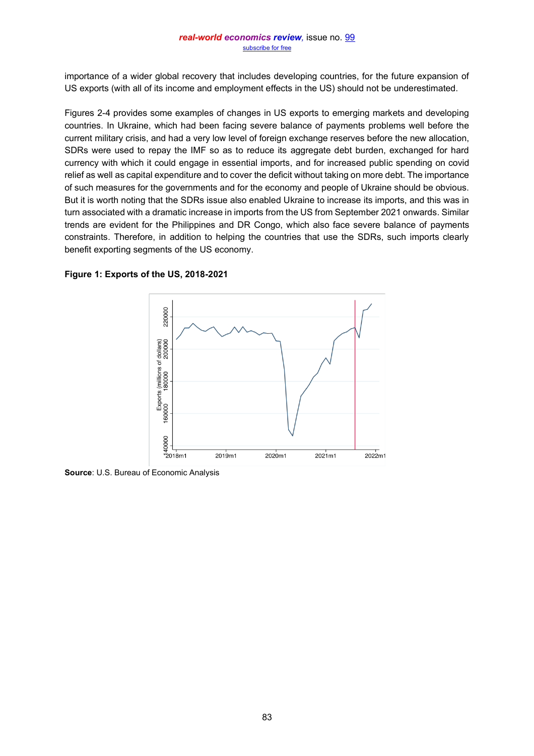importance of a wider global recovery that includes developing countries, for the future expansion of US exports (with all of its income and employment effects in the US) should not be underestimated.

Figures 2-4 provides some examples of changes in US exports to emerging markets and developing countries. In Ukraine, which had been facing severe balance of payments problems well before the current military crisis, and had a very low level of foreign exchange reserves before the new allocation, SDRs were used to repay the IMF so as to reduce its aggregate debt burden, exchanged for hard currency with which it could engage in essential imports, and for increased public spending on covid relief as well as capital expenditure and to cover the deficit without taking on more debt. The importance of such measures for the governments and for the economy and people of Ukraine should be obvious. But it is worth noting that the SDRs issue also enabled Ukraine to increase its imports, and this was in turn associated with a dramatic increase in imports from the US from September 2021 onwards. Similar trends are evident for the Philippines and DR Congo, which also face severe balance of payments constraints. Therefore, in addition to helping the countries that use the SDRs, such imports clearly benefit exporting segments of the US economy.



**Figure 1: Exports of the US, 2018-2021** 

**Source**: U.S. Bureau of Economic Analysis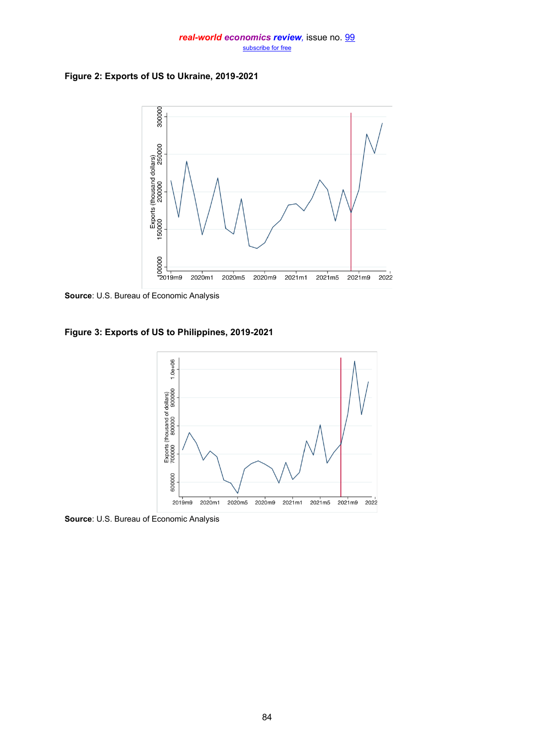#### *real-world economics review,* issue no. [99](http://www.paecon.net/PAEReview/issue99/whole99.pdf) [subscribe for free](http://www.feedblitz.com/f/f.fbz?Sub=332386)

**Figure 2: Exports of US to Ukraine, 2019-2021** 



**Source**: U.S. Bureau of Economic Analysis

**Figure 3: Exports of US to Philippines, 2019-2021** 



**Source**: U.S. Bureau of Economic Analysis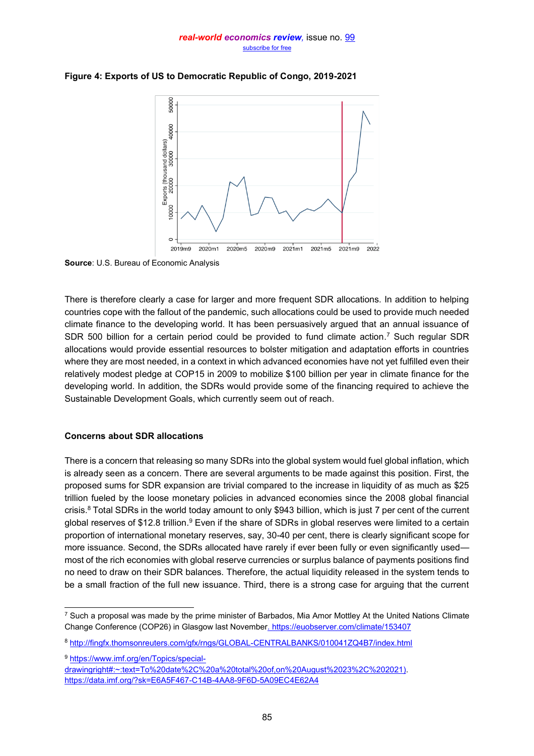#### *real-world economics review,* issue no. [99](http://www.paecon.net/PAEReview/issue99/whole99.pdf) [subscribe for free](http://www.feedblitz.com/f/f.fbz?Sub=332386)



# **Figure 4: Exports of US to Democratic Republic of Congo, 2019-2021**

**Source**: U.S. Bureau of Economic Analysis

There is therefore clearly a case for larger and more frequent SDR allocations. In addition to helping countries cope with the fallout of the pandemic, such allocations could be used to provide much needed climate finance to the developing world. It has been persuasively argued that an annual issuance of SDR 500 billion for a certain period could be provided to fund climate action.<sup>7</sup> Such regular SDR allocations would provide essential resources to bolster mitigation and adaptation efforts in countries where they are most needed, in a context in which advanced economies have not yet fulfilled even their relatively modest pledge at COP15 in 2009 to mobilize \$100 billion per year in climate finance for the developing world. In addition, the SDRs would provide some of the financing required to achieve the Sustainable Development Goals, which currently seem out of reach.

## **Concerns about SDR allocations**

There is a concern that releasing so many SDRs into the global system would fuel global inflation, which is already seen as a concern. There are several arguments to be made against this position. First, the proposed sums for SDR expansion are trivial compared to the increase in liquidity of as much as \$25 trillion fueled by the loose monetary policies in advanced economies since the 2008 global financial crisis.<sup>8</sup> Total SDRs in the world today amount to only \$943 billion, which is just 7 per cent of the current global reserves of \$12.8 trillion.<sup>9</sup> Even if the share of SDRs in global reserves were limited to a certain proportion of international monetary reserves, say, 30-40 per cent, there is clearly significant scope for more issuance. Second, the SDRs allocated have rarely if ever been fully or even significantly used most of the rich economies with global reserve currencies or surplus balance of payments positions find no need to draw on their SDR balances. Therefore, the actual liquidity released in the system tends to be a small fraction of the full new issuance. Third, there is a strong case for arguing that the current

<sup>&</sup>lt;sup>7</sup> Such a proposal was made by the prime minister of Barbados, Mia Amor Mottley At the United Nations Climate Change Conference (COP26) in Glasgow last Novembe[r. https://euobserver.com/climate/153407](https://euobserver.com/climate/153407) 

<sup>8</sup> <http://fingfx.thomsonreuters.com/gfx/rngs/GLOBAL-CENTRALBANKS/010041ZQ4B7/index.html>

<sup>9</sup> [https://www.imf.org/en/Topics/special-](https://www.imf.org/en/Topics/special-drawing)

[drawing](https://www.imf.org/en/Topics/special-drawing)[right#:~:text=To%20date%2C%20a%20total%20of,on%20August%2023%2C%202021\).](https://www.imf.org/en/Topics/special-drawing-right%23:~:text=To%20date,%20a%20total%20of,on%20August%2023,%202021) <https://data.imf.org/?sk=E6A5F467-C14B-4AA8-9F6D-5A09EC4E62A4>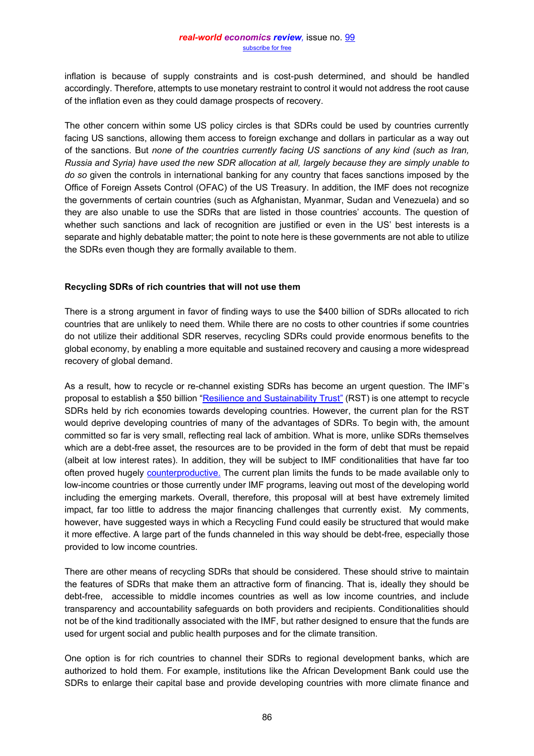inflation is because of supply constraints and is cost-push determined, and should be handled accordingly. Therefore, attempts to use monetary restraint to control it would not address the root cause of the inflation even as they could damage prospects of recovery.

The other concern within some US policy circles is that SDRs could be used by countries currently facing US sanctions, allowing them access to foreign exchange and dollars in particular as a way out of the sanctions. But *none of the countries currently facing US sanctions of any kind (such as Iran, Russia and Syria) have used the new SDR allocation at all, largely because they are simply unable to do so* given the controls in international banking for any country that faces sanctions imposed by the Office of Foreign Assets Control (OFAC) of the US Treasury. In addition, the IMF does not recognize the governments of certain countries (such as Afghanistan, Myanmar, Sudan and Venezuela) and so they are also unable to use the SDRs that are listed in those countries' accounts. The question of whether such sanctions and lack of recognition are justified or even in the US' best interests is a separate and highly debatable matter; the point to note here is these governments are not able to utilize the SDRs even though they are formally available to them.

## **Recycling SDRs of rich countries that will not use them**

There is a strong argument in favor of finding ways to use the \$400 billion of SDRs allocated to rich countries that are unlikely to need them. While there are no costs to other countries if some countries do not utilize their additional SDR reserves, recycling SDRs could provide enormous benefits to the global economy, by enabling a more equitable and sustained recovery and causing a more widespread recovery of global demand.

As a result, how to recycle or re-channel existing SDRs has become an urgent question. The IMF's proposal to establish a \$50 billion "[Resilience and Sustainability Trust](https://blogs.imf.org/2022/01/20/a-new-trust-to-help-countries-build-resilience-and-sustainability/)" (RST) is one attempt to recycle SDRs held by rich economies towards developing countries. However, the current plan for the RST would deprive developing countries of many of the advantages of SDRs. To begin with, the amount committed so far is very small, reflecting real lack of ambition. What is more, unlike SDRs themselves which are a debt-free asset, the resources are to be provided in the form of debt that must be repaid (albeit at low interest rates). In addition, they will be subject to IMF conditionalities that have far too often proved hugely [counterproductive.](https://www.eurodad.org/unhealthy-conditions) The current plan limits the funds to be made available only to low-income countries or those currently under IMF programs, leaving out most of the developing world including the emerging markets. Overall, therefore, this proposal will at best have extremely limited impact, far too little to address the major financing challenges that currently exist. My comments, however, have suggested ways in which a Recycling Fund could easily be structured that would make it more effective. A large part of the funds channeled in this way should be debt-free, especially those provided to low income countries.

There are other means of recycling SDRs that should be considered. These should strive to maintain the features of SDRs that make them an attractive form of financing. That is, ideally they should be debt-free, accessible to middle incomes countries as well as low income countries, and include transparency and accountability safeguards on both providers and recipients. Conditionalities should not be of the kind traditionally associated with the IMF, but rather designed to ensure that the funds are used for urgent social and public health purposes and for the climate transition.

One option is for rich countries to channel their SDRs to regional development banks, which are authorized to hold them. For example, institutions like the African Development Bank could use the SDRs to enlarge their capital base and provide developing countries with more climate finance and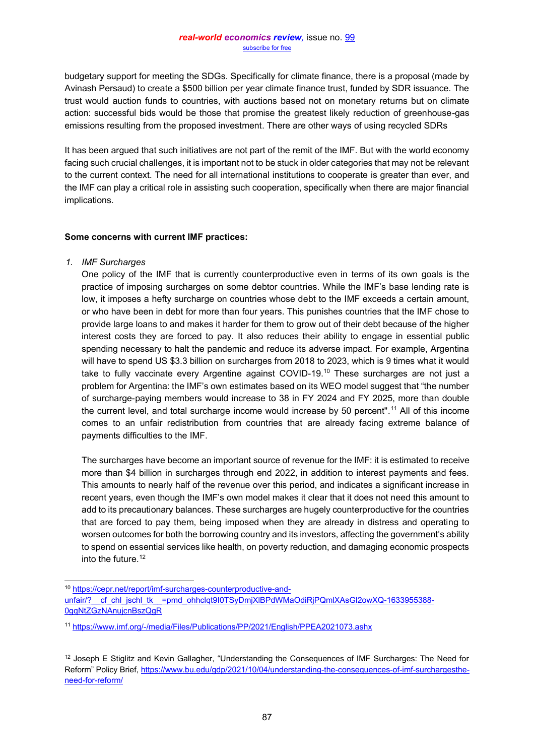budgetary support for meeting the SDGs. Specifically for climate finance, there is a proposal (made by Avinash Persaud) to create a \$500 billion per year climate finance trust, funded by SDR issuance. The trust would auction funds to countries, with auctions based not on monetary returns but on climate action: successful bids would be those that promise the greatest likely reduction of greenhouse-gas emissions resulting from the proposed investment. There are other ways of using recycled SDRs

It has been argued that such initiatives are not part of the remit of the IMF. But with the world economy facing such crucial challenges, it is important not to be stuck in older categories that may not be relevant to the current context. The need for all international institutions to cooperate is greater than ever, and the IMF can play a critical role in assisting such cooperation, specifically when there are major financial implications.

## **Some concerns with current IMF practices:**

*1. IMF Surcharges* 

One policy of the IMF that is currently counterproductive even in terms of its own goals is the practice of imposing surcharges on some debtor countries. While the IMF's base lending rate is low, it imposes a hefty surcharge on countries whose debt to the IMF exceeds a certain amount, or who have been in debt for more than four years. This punishes countries that the IMF chose to provide large loans to and makes it harder for them to grow out of their debt because of the higher interest costs they are forced to pay. It also reduces their ability to engage in essential public spending necessary to halt the pandemic and reduce its adverse impact. For example, Argentina will have to spend US \$3.3 billion on surcharges from 2018 to 2023, which is 9 times what it would take to fully vaccinate every Argentine against COVID-19.<sup>10</sup> These surcharges are not just a problem for Argentina: the IMF's own estimates based on its WEO model suggest that "the number of surcharge-paying members would increase to 38 in FY 2024 and FY 2025, more than double the current level, and total surcharge income would increase by 50 percent".<sup>11</sup> All of this income comes to an unfair redistribution from countries that are already facing extreme balance of payments difficulties to the IMF.

The surcharges have become an important source of revenue for the IMF: it is estimated to receive more than \$4 billion in surcharges through end 2022, in addition to interest payments and fees. This amounts to nearly half of the revenue over this period, and indicates a significant increase in recent years, even though the IMF's own model makes it clear that it does not need this amount to add to its precautionary balances. These surcharges are hugely counterproductive for the countries that are forced to pay them, being imposed when they are already in distress and operating to worsen outcomes for both the borrowing country and its investors, affecting the government's ability to spend on essential services like health, on poverty reduction, and damaging economic prospects into the future. 12

<sup>10</sup> [https://cepr.net/report/imf-surcharges-counterproductive-and](https://cepr.net/report/imf-surcharges-counterproductive-and-unfair/?__cf_chl_jschl_tk__=pmd_ohhclqt9I0TSyDmjXlBPdWMaOdiRjPQmlXAsGl2owXQ-1633955388-0-gqNtZGzNAnujcnBszQgR)unfair/? cf chl\_jschl\_tk =pmd\_ohhclqt9I0TSyDmjXlBPdWMaOdiRjPQmlXAsGl2owXQ-1633955388-[0gqNtZGzNAnujcnBszQgR](https://cepr.net/report/imf-surcharges-counterproductive-and-unfair/?__cf_chl_jschl_tk__=pmd_ohhclqt9I0TSyDmjXlBPdWMaOdiRjPQmlXAsGl2owXQ-1633955388-0-gqNtZGzNAnujcnBszQgR)

<sup>11</sup> <https://www.imf.org/-/media/Files/Publications/PP/2021/English/PPEA2021073.ashx>

<sup>&</sup>lt;sup>12</sup> Joseph E Stiglitz and Kevin Gallagher, "Understanding the Consequences of IMF Surcharges: The Need for Reform" Policy Brief, [https://www.bu.edu/gdp/2021/10/04/understanding-the-consequences-of-imf-surchargesthe](https://www.bu.edu/gdp/2021/10/04/understanding-the-consequences-of-imf-surcharges-the-need-for-reform/)[need-for-reform/](https://www.bu.edu/gdp/2021/10/04/understanding-the-consequences-of-imf-surcharges-the-need-for-reform/)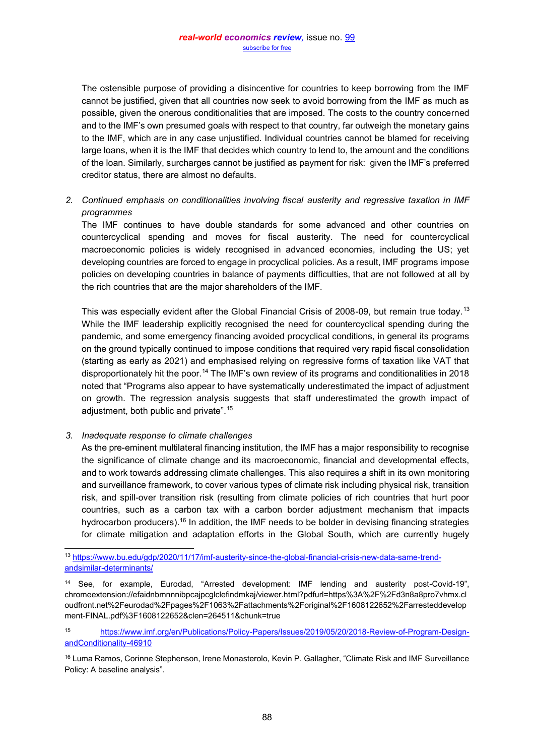The ostensible purpose of providing a disincentive for countries to keep borrowing from the IMF cannot be justified, given that all countries now seek to avoid borrowing from the IMF as much as possible, given the onerous conditionalities that are imposed. The costs to the country concerned and to the IMF's own presumed goals with respect to that country, far outweigh the monetary gains to the IMF, which are in any case unjustified. Individual countries cannot be blamed for receiving large loans, when it is the IMF that decides which country to lend to, the amount and the conditions of the loan. Similarly, surcharges cannot be justified as payment for risk: given the IMF's preferred creditor status, there are almost no defaults.

# *2. Continued emphasis on conditionalities involving fiscal austerity and regressive taxation in IMF programmes*

The IMF continues to have double standards for some advanced and other countries on countercyclical spending and moves for fiscal austerity. The need for countercyclical macroeconomic policies is widely recognised in advanced economies, including the US; yet developing countries are forced to engage in procyclical policies. As a result, IMF programs impose policies on developing countries in balance of payments difficulties, that are not followed at all by the rich countries that are the major shareholders of the IMF.

This was especially evident after the Global Financial Crisis of 2008-09, but remain true today.<sup>13</sup> While the IMF leadership explicitly recognised the need for countercyclical spending during the pandemic, and some emergency financing avoided procyclical conditions, in general its programs on the ground typically continued to impose conditions that required very rapid fiscal consolidation (starting as early as 2021) and emphasised relying on regressive forms of taxation like VAT that disproportionately hit the poor.<sup>14</sup> The IMF's own review of its programs and conditionalities in 2018 noted that "Programs also appear to have systematically underestimated the impact of adjustment on growth. The regression analysis suggests that staff underestimated the growth impact of adjustment, both public and private".<sup>15</sup>

## *3. Inadequate response to climate challenges*

As the pre-eminent multilateral financing institution, the IMF has a major responsibility to recognise the significance of climate change and its macroeconomic, financial and developmental effects, and to work towards addressing climate challenges. This also requires a shift in its own monitoring and surveillance framework, to cover various types of climate risk including physical risk, transition risk, and spill-over transition risk (resulting from climate policies of rich countries that hurt poor countries, such as a carbon tax with a carbon border adjustment mechanism that impacts hydrocarbon producers).<sup>16</sup> In addition, the IMF needs to be bolder in devising financing strategies for climate mitigation and adaptation efforts in the Global South, which are currently hugely

<sup>16</sup> Luma Ramos, Corinne Stephenson, Irene Monasterolo, Kevin P. Gallagher, "Climate Risk and IMF Surveillance Policy: A baseline analysis".

<sup>13</sup> [https://www.bu.edu/gdp/2020/11/17/imf-austerity-since-the-global-financial-crisis-new-data-same-trend](https://www.bu.edu/gdp/2020/11/17/imf-austerity-since-the-global-financial-crisis-new-data-same-trend-and-similar-determinants/)[andsimilar-determinants/](https://www.bu.edu/gdp/2020/11/17/imf-austerity-since-the-global-financial-crisis-new-data-same-trend-and-similar-determinants/)

<sup>&</sup>lt;sup>14</sup> See, for example, Eurodad, "Arrested development: IMF lending and austerity post-Covid-19", chromeextension://efaidnbmnnnibpcajpcglclefindmkaj/viewer.html?pdfurl=https%3A%2F%2Fd3n8a8pro7vhmx.cl oudfront.net%2Feurodad%2Fpages%2F1063%2Fattachments%2Foriginal%2F1608122652%2Farresteddevelop ment-FINAL.pdf%3F1608122652&clen=264511&chunk=true

<sup>15</sup> [https://www.imf.org/en/Publications/Policy-Papers/Issues/2019/05/20/2018-Review-of-Program-Design](https://www.imf.org/en/Publications/Policy-Papers/Issues/2019/05/20/2018-Review-of-Program-Design-and-Conditionality-46910)[andConditionality-46910](https://www.imf.org/en/Publications/Policy-Papers/Issues/2019/05/20/2018-Review-of-Program-Design-and-Conditionality-46910)